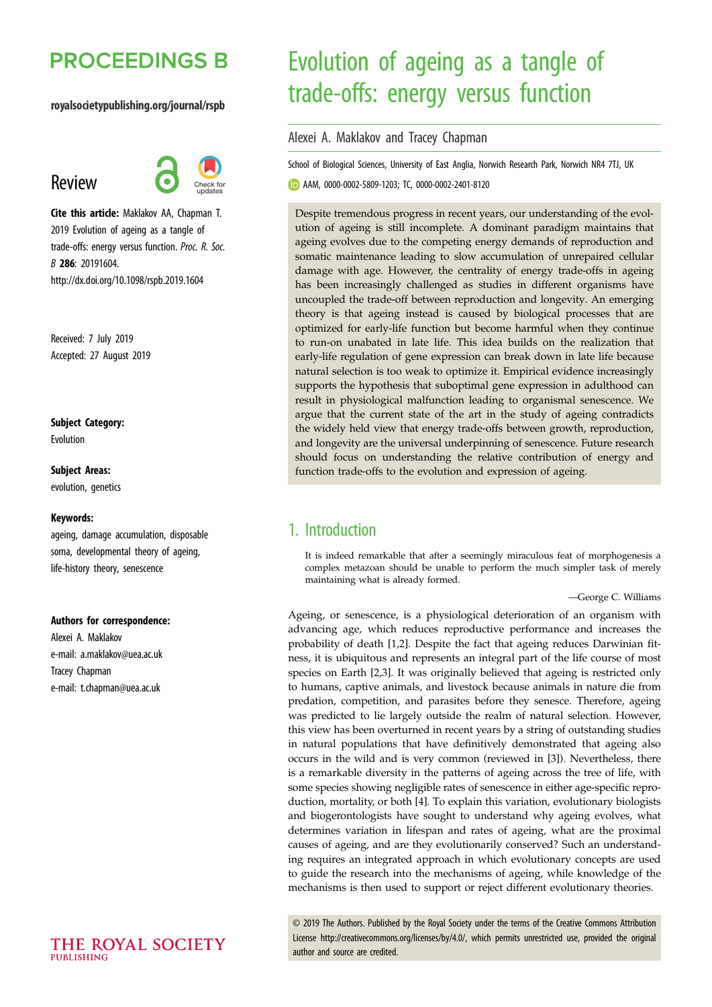# **PROCEEDINGS B**

#### royalsocietypublishing.org/journal/rspb

# Review



Cite this article: Maklakov AA, Chapman T. 2019 Evolution of ageing as a tangle of trade-offs: energy versus function. Proc. R. Soc. B 286: 20191604. http://dx.doi.org/10.1098/rspb.2019.1604

Received: 7 July 2019 Accepted: 27 August 2019

### Subject Category:

Evolution

# Subject Areas:

evolution, genetics

#### Keywords:

ageing, damage accumulation, disposable soma, developmental theory of ageing, life-history theory, senescence

#### Authors for correspondence:

Alexei A. Maklakov e-mail: [a.maklakov@uea.ac.uk](mailto:a.maklakov@uea.ac.uk) Tracey Chapman e-mail: [t.chapman@uea.ac.uk](mailto:t.chapman@uea.ac.uk)

# Evolution of ageing as a tangle of trade-offs: energy versus function

Alexei A. Maklakov and Tracey Chapman

School of Biological Sciences, University of East Anglia, Norwich Research Park, Norwich NR4 7TJ, UK

AAM, [0000-0002-5809-1203;](http://orcid.org/0000-0002-5809-1203) TC, [0000-0002-2401-8120](http://orcid.org/0000-0002-2401-8120)

Despite tremendous progress in recent years, our understanding of the evolution of ageing is still incomplete. A dominant paradigm maintains that ageing evolves due to the competing energy demands of reproduction and somatic maintenance leading to slow accumulation of unrepaired cellular damage with age. However, the centrality of energy trade-offs in ageing has been increasingly challenged as studies in different organisms have uncoupled the trade-off between reproduction and longevity. An emerging theory is that ageing instead is caused by biological processes that are optimized for early-life function but become harmful when they continue to run-on unabated in late life. This idea builds on the realization that early-life regulation of gene expression can break down in late life because natural selection is too weak to optimize it. Empirical evidence increasingly supports the hypothesis that suboptimal gene expression in adulthood can result in physiological malfunction leading to organismal senescence. We argue that the current state of the art in the study of ageing contradicts the widely held view that energy trade-offs between growth, reproduction, and longevity are the universal underpinning of senescence. Future research should focus on understanding the relative contribution of energy and function trade-offs to the evolution and expression of ageing.

## 1. Introduction

It is indeed remarkable that after a seemingly miraculous feat of morphogenesis a complex metazoan should be unable to perform the much simpler task of merely maintaining what is already formed.

—George C. Williams

Ageing, or senescence, is a physiological deterioration of an organism with advancing age, which reduces reproductive performance and increases the probability of death [\[1,2](#page-6-0)]. Despite the fact that ageing reduces Darwinian fitness, it is ubiquitous and represents an integral part of the life course of most species on Earth [[2](#page-6-0),[3](#page-6-0)]. It was originally believed that ageing is restricted only to humans, captive animals, and livestock because animals in nature die from predation, competition, and parasites before they senesce. Therefore, ageing was predicted to lie largely outside the realm of natural selection. However, this view has been overturned in recent years by a string of outstanding studies in natural populations that have definitively demonstrated that ageing also occurs in the wild and is very common (reviewed in [[3](#page-6-0)]). Nevertheless, there is a remarkable diversity in the patterns of ageing across the tree of life, with some species showing negligible rates of senescence in either age-specific reproduction, mortality, or both [[4\]](#page-6-0). To explain this variation, evolutionary biologists and biogerontologists have sought to understand why ageing evolves, what determines variation in lifespan and rates of ageing, what are the proximal causes of ageing, and are they evolutionarily conserved? Such an understanding requires an integrated approach in which evolutionary concepts are used to guide the research into the mechanisms of ageing, while knowledge of the mechanisms is then used to support or reject different evolutionary theories.

© 2019 The Authors. Published by the Royal Society under the terms of the Creative Commons Attribution License<http://creativecommons.org/licenses/by/4.0/>, which permits unrestricted use, provided the original author and source are credited.

THE ROYAL SOCIETY PURLISHING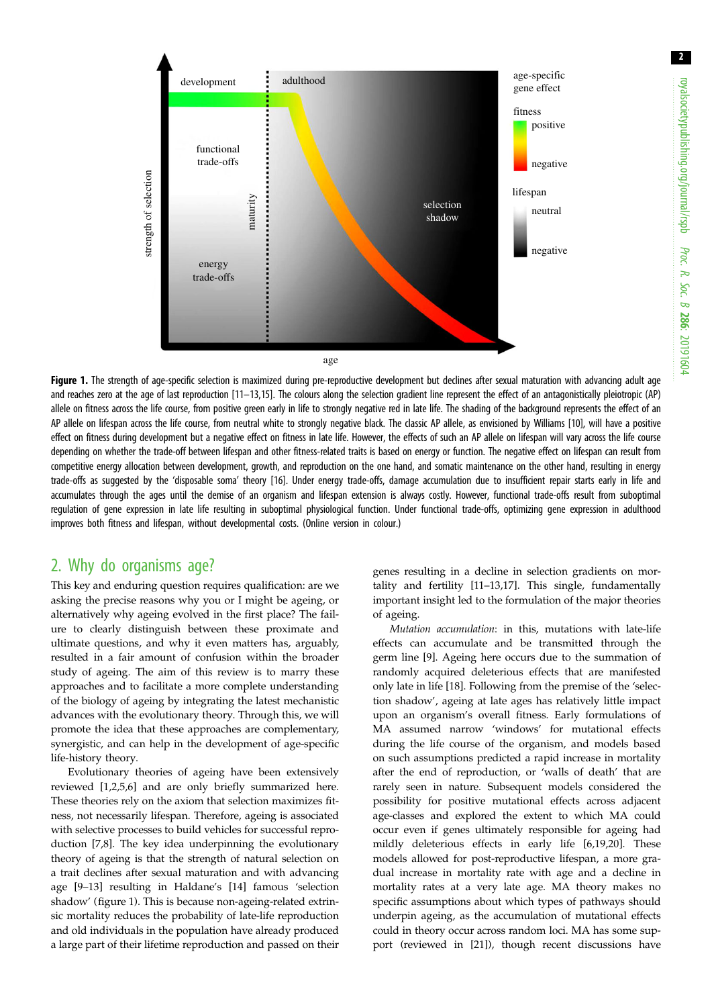

Figure 1. The strength of age-specific selection is maximized during pre-reproductive development but declines after sexual maturation with advancing adult age and reaches zero at the age of last reproduction [\[11](#page-6-0)–[13,15\]](#page-6-0). The colours along the selection gradient line represent the effect of an antagonistically pleiotropic (AP) allele on fitness across the life course, from positive green early in life to strongly negative red in late life. The shading of the background represents the effect of an AP allele on lifespan across the life course, from neutral white to strongly negative black. The classic AP allele, as envisioned by Williams [[10](#page-6-0)], will have a positive effect on fitness during development but a negative effect on fitness in late life. However, the effects of such an AP allele on lifespan will vary across the life course depending on whether the trade-off between lifespan and other fitness-related traits is based on energy or function. The negative effect on lifespan can result from competitive energy allocation between development, growth, and reproduction on the one hand, and somatic maintenance on the other hand, resulting in energy trade-offs as suggested by the 'disposable soma' theory [[16](#page-6-0)]. Under energy trade-offs, damage accumulation due to insufficient repair starts early in life and accumulates through the ages until the demise of an organism and lifespan extension is always costly. However, functional trade-offs result from suboptimal regulation of gene expression in late life resulting in suboptimal physiological function. Under functional trade-offs, optimizing gene expression in adulthood improves both fitness and lifespan, without developmental costs. (Online version in colour.)

## 2. Why do organisms age?

This key and enduring question requires qualification: are we asking the precise reasons why you or I might be ageing, or alternatively why ageing evolved in the first place? The failure to clearly distinguish between these proximate and ultimate questions, and why it even matters has, arguably, resulted in a fair amount of confusion within the broader study of ageing. The aim of this review is to marry these approaches and to facilitate a more complete understanding of the biology of ageing by integrating the latest mechanistic advances with the evolutionary theory. Through this, we will promote the idea that these approaches are complementary, synergistic, and can help in the development of age-specific life-history theory.

Evolutionary theories of ageing have been extensively reviewed [[1,2,5,6](#page-6-0)] and are only briefly summarized here. These theories rely on the axiom that selection maximizes fitness, not necessarily lifespan. Therefore, ageing is associated with selective processes to build vehicles for successful reproduction [[7](#page-6-0),[8](#page-6-0)]. The key idea underpinning the evolutionary theory of ageing is that the strength of natural selection on a trait declines after sexual maturation and with advancing age [[9](#page-6-0)–[13\]](#page-6-0) resulting in Haldane's [\[14](#page-6-0)] famous 'selection shadow' (figure 1). This is because non-ageing-related extrinsic mortality reduces the probability of late-life reproduction and old individuals in the population have already produced a large part of their lifetime reproduction and passed on their

genes resulting in a decline in selection gradients on mortality and fertility [[11](#page-6-0)–[13,17\]](#page-6-0). This single, fundamentally important insight led to the formulation of the major theories of ageing.

Mutation accumulation: in this, mutations with late-life effects can accumulate and be transmitted through the germ line [[9](#page-6-0)]. Ageing here occurs due to the summation of randomly acquired deleterious effects that are manifested only late in life [[18\]](#page-6-0). Following from the premise of the 'selection shadow', ageing at late ages has relatively little impact upon an organism's overall fitness. Early formulations of MA assumed narrow 'windows' for mutational effects during the life course of the organism, and models based on such assumptions predicted a rapid increase in mortality after the end of reproduction, or 'walls of death' that are rarely seen in nature. Subsequent models considered the possibility for positive mutational effects across adjacent age-classes and explored the extent to which MA could occur even if genes ultimately responsible for ageing had mildly deleterious effects in early life [[6](#page-6-0),[19](#page-6-0),[20\]](#page-6-0). These models allowed for post-reproductive lifespan, a more gradual increase in mortality rate with age and a decline in mortality rates at a very late age. MA theory makes no specific assumptions about which types of pathways should underpin ageing, as the accumulation of mutational effects could in theory occur across random loci. MA has some support (reviewed in [\[21](#page-6-0)]), though recent discussions have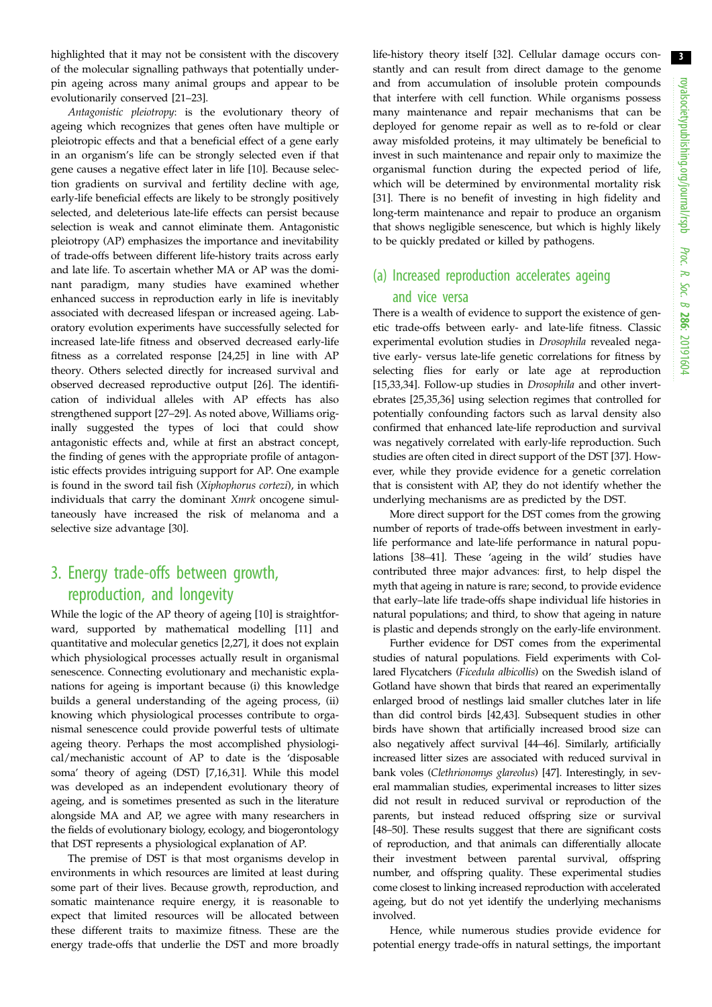highlighted that it may not be consistent with the discovery of the molecular signalling pathways that potentially underpin ageing across many animal groups and appear to be evolutionarily conserved [[21](#page-6-0)–[23](#page-6-0)].

Antagonistic pleiotropy: is the evolutionary theory of ageing which recognizes that genes often have multiple or pleiotropic effects and that a beneficial effect of a gene early in an organism's life can be strongly selected even if that gene causes a negative effect later in life [\[10](#page-6-0)]. Because selection gradients on survival and fertility decline with age, early-life beneficial effects are likely to be strongly positively selected, and deleterious late-life effects can persist because selection is weak and cannot eliminate them. Antagonistic pleiotropy (AP) emphasizes the importance and inevitability of trade-offs between different life-history traits across early and late life. To ascertain whether MA or AP was the dominant paradigm, many studies have examined whether enhanced success in reproduction early in life is inevitably associated with decreased lifespan or increased ageing. Laboratory evolution experiments have successfully selected for increased late-life fitness and observed decreased early-life fitness as a correlated response [\[24](#page-6-0),[25\]](#page-6-0) in line with AP theory. Others selected directly for increased survival and observed decreased reproductive output [[26\]](#page-6-0). The identification of individual alleles with AP effects has also strengthened support [\[27](#page-6-0)–[29\]](#page-6-0). As noted above, Williams originally suggested the types of loci that could show antagonistic effects and, while at first an abstract concept, the finding of genes with the appropriate profile of antagonistic effects provides intriguing support for AP. One example is found in the sword tail fish (Xiphophorus cortezi), in which individuals that carry the dominant Xmrk oncogene simultaneously have increased the risk of melanoma and a selective size advantage [[30\]](#page-6-0).

# 3. Energy trade-offs between growth, reproduction, and longevity

While the logic of the AP theory of ageing [[10](#page-6-0)] is straightforward, supported by mathematical modelling [\[11\]](#page-6-0) and quantitative and molecular genetics [[2](#page-6-0),[27\]](#page-6-0), it does not explain which physiological processes actually result in organismal senescence. Connecting evolutionary and mechanistic explanations for ageing is important because (i) this knowledge builds a general understanding of the ageing process, (ii) knowing which physiological processes contribute to organismal senescence could provide powerful tests of ultimate ageing theory. Perhaps the most accomplished physiological/mechanistic account of AP to date is the 'disposable soma' theory of ageing (DST) [\[7](#page-6-0),[16](#page-6-0),[31](#page-6-0)]. While this model was developed as an independent evolutionary theory of ageing, and is sometimes presented as such in the literature alongside MA and AP, we agree with many researchers in the fields of evolutionary biology, ecology, and biogerontology that DST represents a physiological explanation of AP.

The premise of DST is that most organisms develop in environments in which resources are limited at least during some part of their lives. Because growth, reproduction, and somatic maintenance require energy, it is reasonable to expect that limited resources will be allocated between these different traits to maximize fitness. These are the energy trade-offs that underlie the DST and more broadly life-history theory itself [\[32](#page-6-0)]. Cellular damage occurs constantly and can result from direct damage to the genome and from accumulation of insoluble protein compounds that interfere with cell function. While organisms possess many maintenance and repair mechanisms that can be deployed for genome repair as well as to re-fold or clear away misfolded proteins, it may ultimately be beneficial to invest in such maintenance and repair only to maximize the organismal function during the expected period of life, which will be determined by environmental mortality risk [[31\]](#page-6-0). There is no benefit of investing in high fidelity and long-term maintenance and repair to produce an organism that shows negligible senescence, but which is highly likely to be quickly predated or killed by pathogens.

#### (a) Increased reproduction accelerates ageing

#### and vice versa

There is a wealth of evidence to support the existence of genetic trade-offs between early- and late-life fitness. Classic experimental evolution studies in Drosophila revealed negative early- versus late-life genetic correlations for fitness by selecting flies for early or late age at reproduction [[15,33,34](#page-6-0)]. Follow-up studies in Drosophila and other invertebrates [[25,35,36](#page-6-0)] using selection regimes that controlled for potentially confounding factors such as larval density also confirmed that enhanced late-life reproduction and survival was negatively correlated with early-life reproduction. Such studies are often cited in direct support of the DST [[37\]](#page-6-0). However, while they provide evidence for a genetic correlation that is consistent with AP, they do not identify whether the underlying mechanisms are as predicted by the DST.

More direct support for the DST comes from the growing number of reports of trade-offs between investment in earlylife performance and late-life performance in natural populations [\[38](#page-6-0)–[41\]](#page-7-0). These 'ageing in the wild' studies have contributed three major advances: first, to help dispel the myth that ageing in nature is rare; second, to provide evidence that early–late life trade-offs shape individual life histories in natural populations; and third, to show that ageing in nature is plastic and depends strongly on the early-life environment.

Further evidence for DST comes from the experimental studies of natural populations. Field experiments with Collared Flycatchers (Ficedula albicollis) on the Swedish island of Gotland have shown that birds that reared an experimentally enlarged brood of nestlings laid smaller clutches later in life than did control birds [\[42,43\]](#page-7-0). Subsequent studies in other birds have shown that artificially increased brood size can also negatively affect survival [\[44](#page-7-0)–[46](#page-7-0)]. Similarly, artificially increased litter sizes are associated with reduced survival in bank voles (Clethrionomys glareolus) [\[47\]](#page-7-0). Interestingly, in several mammalian studies, experimental increases to litter sizes did not result in reduced survival or reproduction of the parents, but instead reduced offspring size or survival [[48](#page-7-0)–[50\]](#page-7-0). These results suggest that there are significant costs of reproduction, and that animals can differentially allocate their investment between parental survival, offspring number, and offspring quality. These experimental studies come closest to linking increased reproduction with accelerated ageing, but do not yet identify the underlying mechanisms involved.

Hence, while numerous studies provide evidence for potential energy trade-offs in natural settings, the important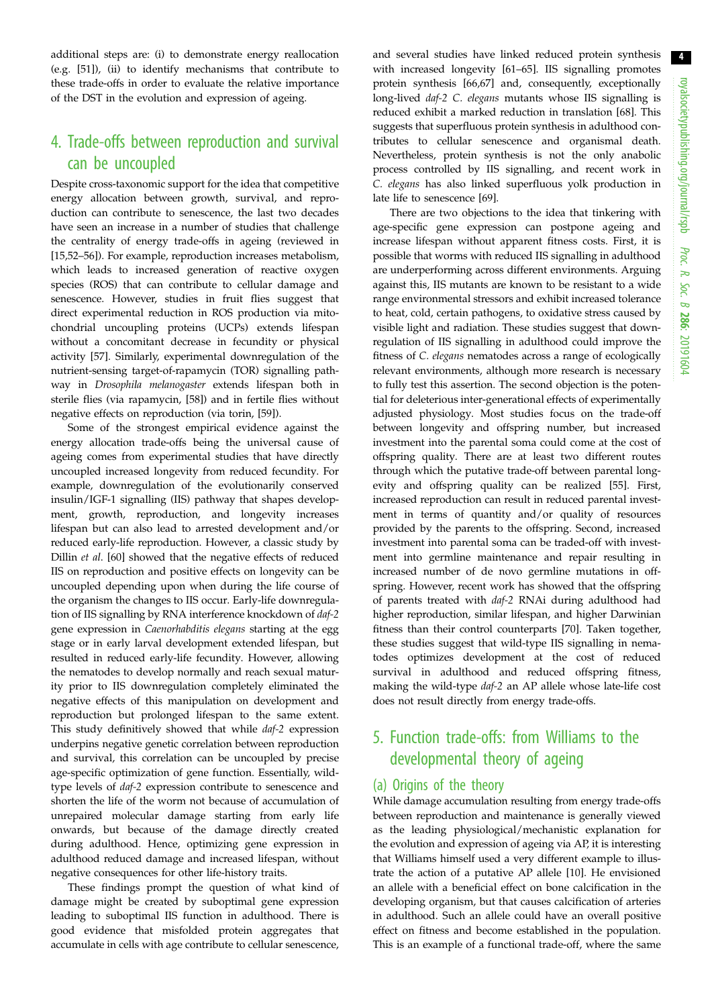additional steps are: (i) to demonstrate energy reallocation (e.g. [\[51](#page-7-0)]), (ii) to identify mechanisms that contribute to these trade-offs in order to evaluate the relative importance of the DST in the evolution and expression of ageing.

# 4. Trade-offs between reproduction and survival can be uncoupled

Despite cross-taxonomic support for the idea that competitive energy allocation between growth, survival, and reproduction can contribute to senescence, the last two decades have seen an increase in a number of studies that challenge the centrality of energy trade-offs in ageing (reviewed in [\[15](#page-6-0),[52](#page-7-0)–[56](#page-7-0)]). For example, reproduction increases metabolism, which leads to increased generation of reactive oxygen species (ROS) that can contribute to cellular damage and senescence. However, studies in fruit flies suggest that direct experimental reduction in ROS production via mitochondrial uncoupling proteins (UCPs) extends lifespan without a concomitant decrease in fecundity or physical activity [[57\]](#page-7-0). Similarly, experimental downregulation of the nutrient-sensing target-of-rapamycin (TOR) signalling pathway in Drosophila melanogaster extends lifespan both in sterile flies (via rapamycin, [\[58](#page-7-0)]) and in fertile flies without negative effects on reproduction (via torin, [\[59](#page-7-0)]).

Some of the strongest empirical evidence against the energy allocation trade-offs being the universal cause of ageing comes from experimental studies that have directly uncoupled increased longevity from reduced fecundity. For example, downregulation of the evolutionarily conserved insulin/IGF-1 signalling (IIS) pathway that shapes development, growth, reproduction, and longevity increases lifespan but can also lead to arrested development and/or reduced early-life reproduction. However, a classic study by Dillin et al. [[60\]](#page-7-0) showed that the negative effects of reduced IIS on reproduction and positive effects on longevity can be uncoupled depending upon when during the life course of the organism the changes to IIS occur. Early-life downregulation of IIS signalling by RNA interference knockdown of daf-2 gene expression in Caenorhabditis elegans starting at the egg stage or in early larval development extended lifespan, but resulted in reduced early-life fecundity. However, allowing the nematodes to develop normally and reach sexual maturity prior to IIS downregulation completely eliminated the negative effects of this manipulation on development and reproduction but prolonged lifespan to the same extent. This study definitively showed that while daf-2 expression underpins negative genetic correlation between reproduction and survival, this correlation can be uncoupled by precise age-specific optimization of gene function. Essentially, wildtype levels of daf-2 expression contribute to senescence and shorten the life of the worm not because of accumulation of unrepaired molecular damage starting from early life onwards, but because of the damage directly created during adulthood. Hence, optimizing gene expression in adulthood reduced damage and increased lifespan, without negative consequences for other life-history traits.

These findings prompt the question of what kind of damage might be created by suboptimal gene expression leading to suboptimal IIS function in adulthood. There is good evidence that misfolded protein aggregates that accumulate in cells with age contribute to cellular senescence, and several studies have linked reduced protein synthesis with increased longevity [[61](#page-7-0)–[65](#page-7-0)]. IIS signalling promotes protein synthesis [\[66,67](#page-7-0)] and, consequently, exceptionally long-lived daf-2 C. elegans mutants whose IIS signalling is reduced exhibit a marked reduction in translation [\[68](#page-7-0)]. This suggests that superfluous protein synthesis in adulthood contributes to cellular senescence and organismal death. Nevertheless, protein synthesis is not the only anabolic process controlled by IIS signalling, and recent work in C. elegans has also linked superfluous yolk production in late life to senescence [\[69](#page-7-0)].

There are two objections to the idea that tinkering with age-specific gene expression can postpone ageing and increase lifespan without apparent fitness costs. First, it is possible that worms with reduced IIS signalling in adulthood are underperforming across different environments. Arguing against this, IIS mutants are known to be resistant to a wide range environmental stressors and exhibit increased tolerance to heat, cold, certain pathogens, to oxidative stress caused by visible light and radiation. These studies suggest that downregulation of IIS signalling in adulthood could improve the fitness of C. elegans nematodes across a range of ecologically relevant environments, although more research is necessary to fully test this assertion. The second objection is the potential for deleterious inter-generational effects of experimentally adjusted physiology. Most studies focus on the trade-off between longevity and offspring number, but increased investment into the parental soma could come at the cost of offspring quality. There are at least two different routes through which the putative trade-off between parental longevity and offspring quality can be realized [\[55](#page-7-0)]. First, increased reproduction can result in reduced parental investment in terms of quantity and/or quality of resources provided by the parents to the offspring. Second, increased investment into parental soma can be traded-off with investment into germline maintenance and repair resulting in increased number of de novo germline mutations in offspring. However, recent work has showed that the offspring of parents treated with daf-2 RNAi during adulthood had higher reproduction, similar lifespan, and higher Darwinian fitness than their control counterparts [[70\]](#page-7-0). Taken together, these studies suggest that wild-type IIS signalling in nematodes optimizes development at the cost of reduced survival in adulthood and reduced offspring fitness, making the wild-type daf-2 an AP allele whose late-life cost does not result directly from energy trade-offs.

# 5. Function trade-offs: from Williams to the developmental theory of ageing

#### (a) Origins of the theory

While damage accumulation resulting from energy trade-offs between reproduction and maintenance is generally viewed as the leading physiological/mechanistic explanation for the evolution and expression of ageing via AP, it is interesting that Williams himself used a very different example to illustrate the action of a putative AP allele [\[10](#page-6-0)]. He envisioned an allele with a beneficial effect on bone calcification in the developing organism, but that causes calcification of arteries in adulthood. Such an allele could have an overall positive effect on fitness and become established in the population. This is an example of a functional trade-off, where the same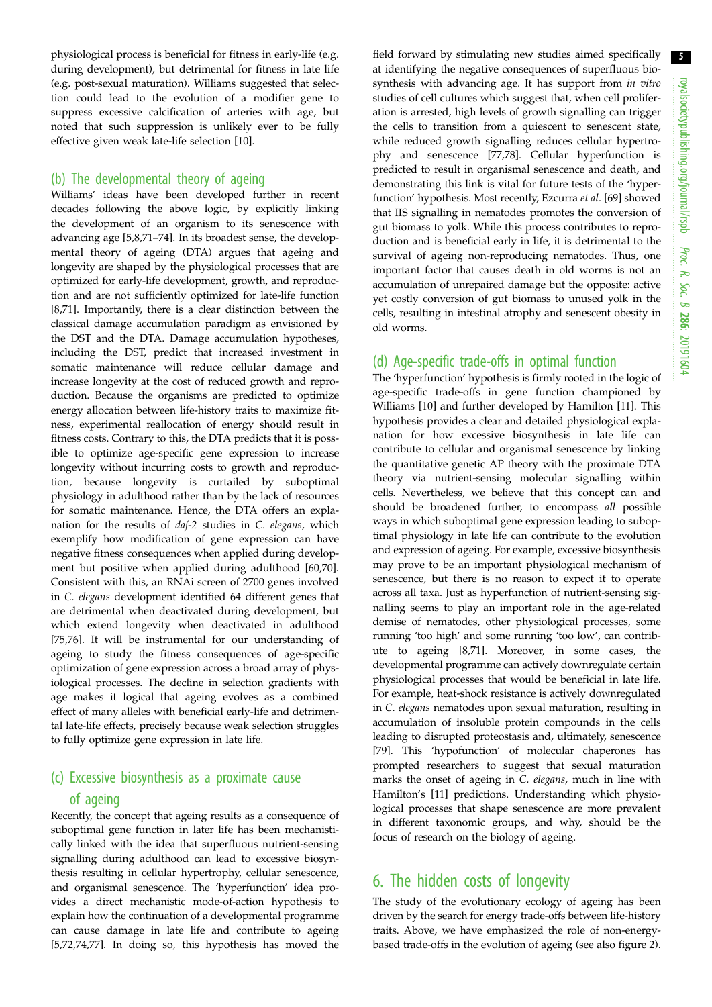physiological process is beneficial for fitness in early-life (e.g. during development), but detrimental for fitness in late life (e.g. post-sexual maturation). Williams suggested that selection could lead to the evolution of a modifier gene to suppress excessive calcification of arteries with age, but noted that such suppression is unlikely ever to be fully effective given weak late-life selection [[10\]](#page-6-0).

### (b) The developmental theory of ageing

Williams' ideas have been developed further in recent decades following the above logic, by explicitly linking the development of an organism to its senescence with advancing age [[5,8,](#page-6-0)[71](#page-7-0)–[74\]](#page-7-0). In its broadest sense, the developmental theory of ageing (DTA) argues that ageing and longevity are shaped by the physiological processes that are optimized for early-life development, growth, and reproduction and are not sufficiently optimized for late-life function [\[8](#page-6-0)[,71](#page-7-0)]. Importantly, there is a clear distinction between the classical damage accumulation paradigm as envisioned by the DST and the DTA. Damage accumulation hypotheses, including the DST, predict that increased investment in somatic maintenance will reduce cellular damage and increase longevity at the cost of reduced growth and reproduction. Because the organisms are predicted to optimize energy allocation between life-history traits to maximize fitness, experimental reallocation of energy should result in fitness costs. Contrary to this, the DTA predicts that it is possible to optimize age-specific gene expression to increase longevity without incurring costs to growth and reproduction, because longevity is curtailed by suboptimal physiology in adulthood rather than by the lack of resources for somatic maintenance. Hence, the DTA offers an explanation for the results of daf-2 studies in C. elegans, which exemplify how modification of gene expression can have negative fitness consequences when applied during development but positive when applied during adulthood [\[60,70](#page-7-0)]. Consistent with this, an RNAi screen of 2700 genes involved in C. elegans development identified 64 different genes that are detrimental when deactivated during development, but which extend longevity when deactivated in adulthood [\[75](#page-7-0),[76\]](#page-7-0). It will be instrumental for our understanding of ageing to study the fitness consequences of age-specific optimization of gene expression across a broad array of physiological processes. The decline in selection gradients with age makes it logical that ageing evolves as a combined effect of many alleles with beneficial early-life and detrimental late-life effects, precisely because weak selection struggles to fully optimize gene expression in late life.

## (c) Excessive biosynthesis as a proximate cause of ageing

Recently, the concept that ageing results as a consequence of suboptimal gene function in later life has been mechanistically linked with the idea that superfluous nutrient-sensing signalling during adulthood can lead to excessive biosynthesis resulting in cellular hypertrophy, cellular senescence, and organismal senescence. The 'hyperfunction' idea provides a direct mechanistic mode-of-action hypothesis to explain how the continuation of a developmental programme can cause damage in late life and contribute to ageing [\[5](#page-6-0)[,72,74](#page-7-0),[77\]](#page-7-0). In doing so, this hypothesis has moved the field forward by stimulating new studies aimed specifically at identifying the negative consequences of superfluous biosynthesis with advancing age. It has support from in vitro studies of cell cultures which suggest that, when cell proliferation is arrested, high levels of growth signalling can trigger the cells to transition from a quiescent to senescent state, while reduced growth signalling reduces cellular hypertrophy and senescence [[77,78\]](#page-7-0). Cellular hyperfunction is predicted to result in organismal senescence and death, and demonstrating this link is vital for future tests of the 'hyperfunction' hypothesis. Most recently, Ezcurra et al. [\[69](#page-7-0)] showed that IIS signalling in nematodes promotes the conversion of gut biomass to yolk. While this process contributes to reproduction and is beneficial early in life, it is detrimental to the survival of ageing non-reproducing nematodes. Thus, one important factor that causes death in old worms is not an accumulation of unrepaired damage but the opposite: active yet costly conversion of gut biomass to unused yolk in the cells, resulting in intestinal atrophy and senescent obesity in old worms.

### (d) Age-specific trade-offs in optimal function

The 'hyperfunction' hypothesis is firmly rooted in the logic of age-specific trade-offs in gene function championed by Williams [\[10](#page-6-0)] and further developed by Hamilton [[11](#page-6-0)]. This hypothesis provides a clear and detailed physiological explanation for how excessive biosynthesis in late life can contribute to cellular and organismal senescence by linking the quantitative genetic AP theory with the proximate DTA theory via nutrient-sensing molecular signalling within cells. Nevertheless, we believe that this concept can and should be broadened further, to encompass all possible ways in which suboptimal gene expression leading to suboptimal physiology in late life can contribute to the evolution and expression of ageing. For example, excessive biosynthesis may prove to be an important physiological mechanism of senescence, but there is no reason to expect it to operate across all taxa. Just as hyperfunction of nutrient-sensing signalling seems to play an important role in the age-related demise of nematodes, other physiological processes, some running 'too high' and some running 'too low', can contribute to ageing [[8](#page-6-0),[71](#page-7-0)]. Moreover, in some cases, the developmental programme can actively downregulate certain physiological processes that would be beneficial in late life. For example, heat-shock resistance is actively downregulated in C. elegans nematodes upon sexual maturation, resulting in accumulation of insoluble protein compounds in the cells leading to disrupted proteostasis and, ultimately, senescence [[79\]](#page-7-0). This 'hypofunction' of molecular chaperones has prompted researchers to suggest that sexual maturation marks the onset of ageing in C. elegans, much in line with Hamilton's [\[11\]](#page-6-0) predictions. Understanding which physiological processes that shape senescence are more prevalent in different taxonomic groups, and why, should be the focus of research on the biology of ageing.

### 6. The hidden costs of longevity

The study of the evolutionary ecology of ageing has been driven by the search for energy trade-offs between life-history traits. Above, we have emphasized the role of non-energybased trade-offs in the evolution of ageing (see also [figure 2\)](#page-5-0).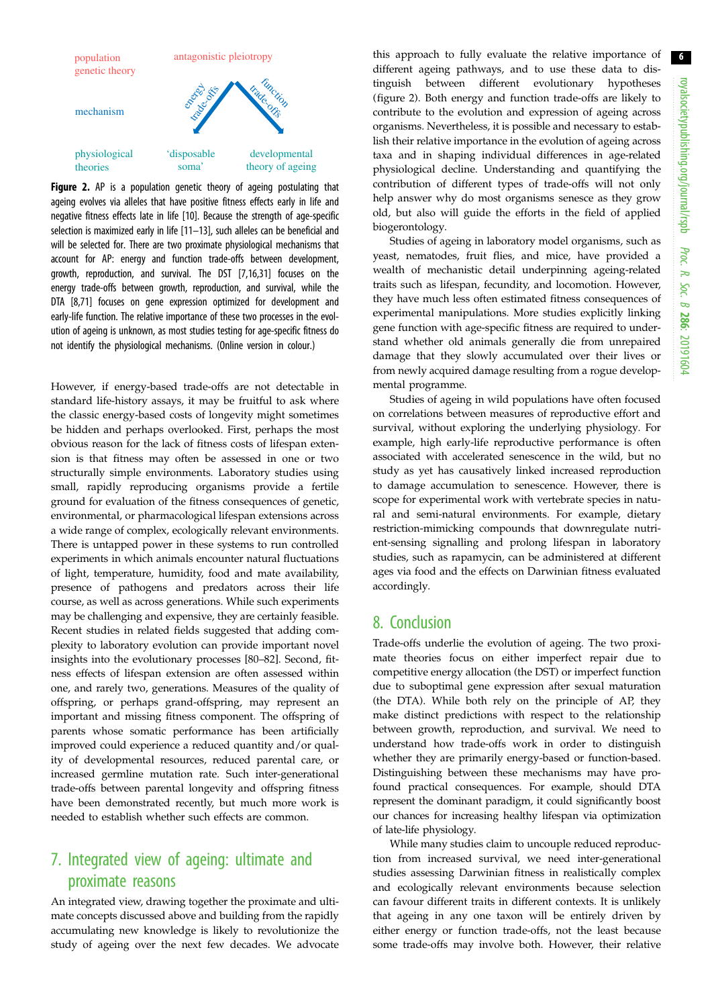<span id="page-5-0"></span>

Figure 2. AP is a population genetic theory of ageing postulating that ageing evolves via alleles that have positive fitness effects early in life and negative fitness effects late in life [\[10](#page-6-0)]. Because the strength of age-specific selection is maximized early in life [[11](#page-6-0)–[13\]](#page-6-0), such alleles can be beneficial and will be selected for. There are two proximate physiological mechanisms that account for AP: energy and function trade-offs between development, growth, reproduction, and survival. The DST [[7,16,31](#page-6-0)] focuses on the energy trade-offs between growth, reproduction, and survival, while the DTA [[8](#page-6-0)[,71\]](#page-7-0) focuses on gene expression optimized for development and early-life function. The relative importance of these two processes in the evolution of ageing is unknown, as most studies testing for age-specific fitness do not identify the physiological mechanisms. (Online version in colour.)

However, if energy-based trade-offs are not detectable in standard life-history assays, it may be fruitful to ask where the classic energy-based costs of longevity might sometimes be hidden and perhaps overlooked. First, perhaps the most obvious reason for the lack of fitness costs of lifespan extension is that fitness may often be assessed in one or two structurally simple environments. Laboratory studies using small, rapidly reproducing organisms provide a fertile ground for evaluation of the fitness consequences of genetic, environmental, or pharmacological lifespan extensions across a wide range of complex, ecologically relevant environments. There is untapped power in these systems to run controlled experiments in which animals encounter natural fluctuations of light, temperature, humidity, food and mate availability, presence of pathogens and predators across their life course, as well as across generations. While such experiments may be challenging and expensive, they are certainly feasible. Recent studies in related fields suggested that adding complexity to laboratory evolution can provide important novel insights into the evolutionary processes [\[80](#page-7-0)–[82\]](#page-7-0). Second, fitness effects of lifespan extension are often assessed within one, and rarely two, generations. Measures of the quality of offspring, or perhaps grand-offspring, may represent an important and missing fitness component. The offspring of parents whose somatic performance has been artificially improved could experience a reduced quantity and/or quality of developmental resources, reduced parental care, or increased germline mutation rate. Such inter-generational trade-offs between parental longevity and offspring fitness have been demonstrated recently, but much more work is needed to establish whether such effects are common.

# 7. Integrated view of ageing: ultimate and proximate reasons

An integrated view, drawing together the proximate and ultimate concepts discussed above and building from the rapidly accumulating new knowledge is likely to revolutionize the study of ageing over the next few decades. We advocate this approach to fully evaluate the relative importance of different ageing pathways, and to use these data to distinguish between different evolutionary hypotheses (figure 2). Both energy and function trade-offs are likely to contribute to the evolution and expression of ageing across organisms. Nevertheless, it is possible and necessary to establish their relative importance in the evolution of ageing across taxa and in shaping individual differences in age-related physiological decline. Understanding and quantifying the contribution of different types of trade-offs will not only help answer why do most organisms senesce as they grow old, but also will guide the efforts in the field of applied biogerontology.

Studies of ageing in laboratory model organisms, such as yeast, nematodes, fruit flies, and mice, have provided a wealth of mechanistic detail underpinning ageing-related traits such as lifespan, fecundity, and locomotion. However, they have much less often estimated fitness consequences of experimental manipulations. More studies explicitly linking gene function with age-specific fitness are required to understand whether old animals generally die from unrepaired damage that they slowly accumulated over their lives or from newly acquired damage resulting from a rogue developmental programme.

Studies of ageing in wild populations have often focused on correlations between measures of reproductive effort and survival, without exploring the underlying physiology. For example, high early-life reproductive performance is often associated with accelerated senescence in the wild, but no study as yet has causatively linked increased reproduction to damage accumulation to senescence. However, there is scope for experimental work with vertebrate species in natural and semi-natural environments. For example, dietary restriction-mimicking compounds that downregulate nutrient-sensing signalling and prolong lifespan in laboratory studies, such as rapamycin, can be administered at different ages via food and the effects on Darwinian fitness evaluated accordingly.

### 8. Conclusion

Trade-offs underlie the evolution of ageing. The two proximate theories focus on either imperfect repair due to competitive energy allocation (the DST) or imperfect function due to suboptimal gene expression after sexual maturation (the DTA). While both rely on the principle of AP, they make distinct predictions with respect to the relationship between growth, reproduction, and survival. We need to understand how trade-offs work in order to distinguish whether they are primarily energy-based or function-based. Distinguishing between these mechanisms may have profound practical consequences. For example, should DTA represent the dominant paradigm, it could significantly boost our chances for increasing healthy lifespan via optimization of late-life physiology.

While many studies claim to uncouple reduced reproduction from increased survival, we need inter-generational studies assessing Darwinian fitness in realistically complex and ecologically relevant environments because selection can favour different traits in different contexts. It is unlikely that ageing in any one taxon will be entirely driven by either energy or function trade-offs, not the least because some trade-offs may involve both. However, their relative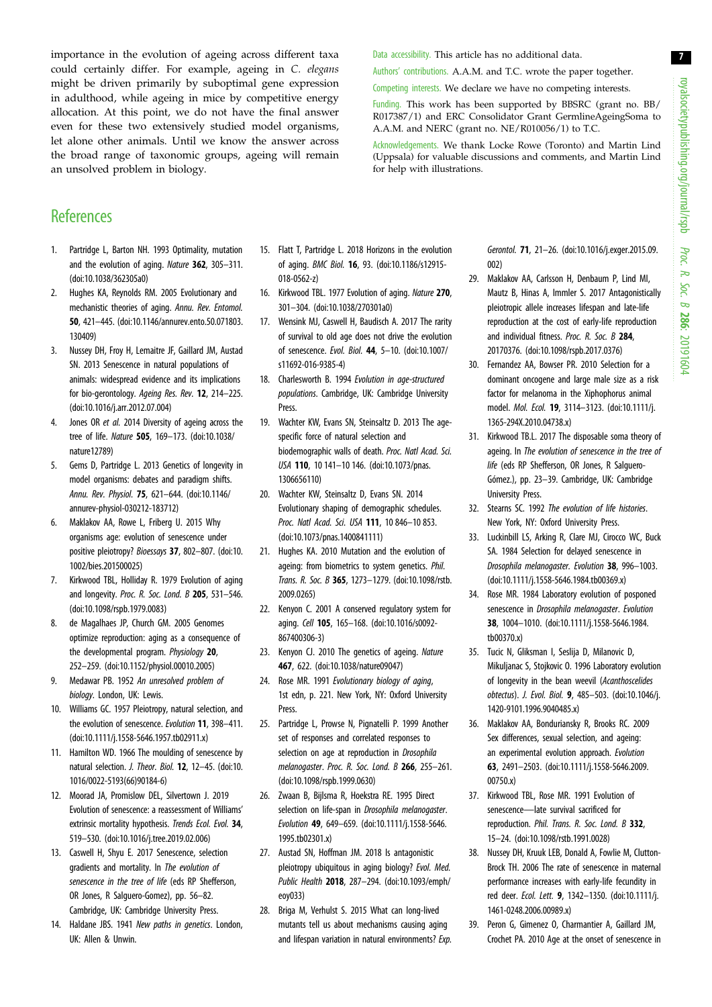<span id="page-6-0"></span>importance in the evolution of ageing across different taxa could certainly differ. For example, ageing in C. elegans might be driven primarily by suboptimal gene expression in adulthood, while ageing in mice by competitive energy allocation. At this point, we do not have the final answer even for these two extensively studied model organisms, let alone other animals. Until we know the answer across the broad range of taxonomic groups, ageing will remain an unsolved problem in biology.

## **References**

- 1. Partridge L, Barton NH. 1993 Optimality, mutation and the evolution of aging. Nature 362, 305–311. [\(doi:10.1038/362305a0\)](http://dx.doi.org/10.1038/362305a0)
- 2. Hughes KA, Reynolds RM. 2005 Evolutionary and mechanistic theories of aging. Annu. Rev. Entomol. 50, 421–445. [\(doi:10.1146/annurev.ento.50.071803.](http://dx.doi.org/10.1146/annurev.ento.50.071803.130409) [130409](http://dx.doi.org/10.1146/annurev.ento.50.071803.130409))
- 3. Nussey DH, Froy H, Lemaitre JF, Gaillard JM, Austad SN. 2013 Senescence in natural populations of animals: widespread evidence and its implications for bio-gerontology. Ageing Res. Rev. 12, 214–225. [\(doi:10.1016/j.arr.2012.07.004](http://dx.doi.org/10.1016/j.arr.2012.07.004))
- 4. Jones OR et al. 2014 Diversity of ageing across the tree of life. Nature 505, 169–173. ([doi:10.1038/](http://dx.doi.org/10.1038/nature12789) [nature12789](http://dx.doi.org/10.1038/nature12789))
- 5. Gems D, Partridge L. 2013 Genetics of longevity in model organisms: debates and paradigm shifts. Annu. Rev. Physiol. 75, 621–644. [\(doi:10.1146/](http://dx.doi.org/10.1146/annurev-physiol-030212-183712) [annurev-physiol-030212-183712](http://dx.doi.org/10.1146/annurev-physiol-030212-183712))
- 6. Maklakov AA, Rowe L, Friberg U. 2015 Why organisms age: evolution of senescence under positive pleiotropy? Bioessays 37, 802–807. ([doi:10.](http://dx.doi.org/10.1002/bies.201500025) [1002/bies.201500025\)](http://dx.doi.org/10.1002/bies.201500025)
- 7. Kirkwood TBL, Holliday R. 1979 Evolution of aging and longevity. Proc. R. Soc. Lond. B 205, 531-546. [\(doi:10.1098/rspb.1979.0083](http://dx.doi.org/10.1098/rspb.1979.0083))
- 8. de Magalhaes JP, Church GM. 2005 Genomes optimize reproduction: aging as a consequence of the developmental program. Physiology 20, 252–259. ([doi:10.1152/physiol.00010.2005](http://dx.doi.org/10.1152/physiol.00010.2005))
- 9. Medawar PB. 1952 An unresolved problem of biology. London, UK: Lewis.
- 10. Williams GC. 1957 Pleiotropy, natural selection, and the evolution of senescence. Evolution 11, 398–411. [\(doi:10.1111/j.1558-5646.1957.tb02911.x\)](http://dx.doi.org/10.1111/j.1558-5646.1957.tb02911.x)
- 11. Hamilton WD. 1966 The moulding of senescence by natural selection. J. Theor. Biol. 12, 12–45. ([doi:10.](http://dx.doi.org/10.1016/0022-5193(66)90184-6) [1016/0022-5193\(66\)90184-6](http://dx.doi.org/10.1016/0022-5193(66)90184-6))
- 12. Moorad JA, Promislow DEL, Silvertown J. 2019 Evolution of senescence: a reassessment of Williams' extrinsic mortality hypothesis. Trends Ecol. Evol. 34, 519–530. ([doi:10.1016/j.tree.2019.02.006\)](http://dx.doi.org/10.1016/j.tree.2019.02.006)
- 13. Caswell H, Shyu E. 2017 Senescence, selection gradients and mortality. In The evolution of senescence in the tree of life (eds RP Shefferson, OR Jones, R Salguero-Gomez), pp. 56–82. Cambridge, UK: Cambridge University Press.
- 14. Haldane JBS. 1941 New paths in genetics. London, UK: Allen & Unwin.
- 15. Flatt T, Partridge L. 2018 Horizons in the evolution of aging. BMC Biol. 16, 93. [\(doi:10.1186/s12915-](http://dx.doi.org/10.1186/s12915-018-0562-z) [018-0562-z](http://dx.doi.org/10.1186/s12915-018-0562-z))
- 16. Kirkwood TBL. 1977 Evolution of aging. Nature 270, 301–304. ([doi:10.1038/270301a0\)](http://dx.doi.org/10.1038/270301a0)
- 17. Wensink MJ, Caswell H, Baudisch A. 2017 The rarity of survival to old age does not drive the evolution of senescence. Evol. Biol. 44, 5–10. [\(doi:10.1007/](http://dx.doi.org/10.1007/s11692-016-9385-4) [s11692-016-9385-4\)](http://dx.doi.org/10.1007/s11692-016-9385-4)
- 18. Charlesworth B. 1994 Evolution in age-structured populations. Cambridge, UK: Cambridge University Press.
- 19. Wachter KW, Evans SN, Steinsaltz D. 2013 The agespecific force of natural selection and biodemographic walls of death. Proc. Natl Acad. Sci. USA 110, 10 141–10 146. [\(doi:10.1073/pnas.](http://dx.doi.org/10.1073/pnas.1306656110) [1306656110\)](http://dx.doi.org/10.1073/pnas.1306656110)
- 20. Wachter KW, Steinsaltz D, Evans SN. 2014 Evolutionary shaping of demographic schedules. Proc. Natl Acad. Sci. USA 111, 10 846–10 853. [\(doi:10.1073/pnas.1400841111\)](http://dx.doi.org/10.1073/pnas.1400841111)
- 21. Hughes KA. 2010 Mutation and the evolution of ageing: from biometrics to system genetics. Phil. Trans. R. Soc. B 365, 1273–1279. [\(doi:10.1098/rstb.](http://dx.doi.org/10.1098/rstb.2009.0265) [2009.0265\)](http://dx.doi.org/10.1098/rstb.2009.0265)
- 22. Kenyon C. 2001 A conserved regulatory system for aging. Cell 105, 165–168. ([doi:10.1016/s0092-](http://dx.doi.org/10.1016/s0092-867400306-3) [867400306-3](http://dx.doi.org/10.1016/s0092-867400306-3))
- 23. Kenyon CJ. 2010 The genetics of ageing. Nature 467, 622. ([doi:10.1038/nature09047\)](http://dx.doi.org/10.1038/nature09047)
- 24. Rose MR. 1991 Evolutionary biology of aging, 1st edn, p. 221. New York, NY: Oxford University Press.
- 25. Partridge L, Prowse N, Pignatelli P. 1999 Another set of responses and correlated responses to selection on age at reproduction in Drosophila melanogaster. Proc. R. Soc. Lond. B 266, 255-261. [\(doi:10.1098/rspb.1999.0630\)](http://dx.doi.org/10.1098/rspb.1999.0630)
- 26. Zwaan B, Bijlsma R, Hoekstra RE. 1995 Direct selection on life-span in Drosophila melanogaster. Evolution 49, 649–659. [\(doi:10.1111/j.1558-5646.](http://dx.doi.org/10.1111/j.1558-5646.1995.tb02301.x) [1995.tb02301.x](http://dx.doi.org/10.1111/j.1558-5646.1995.tb02301.x))
- 27. Austad SN, Hoffman JM. 2018 Is antagonistic pleiotropy ubiquitous in aging biology? Evol. Med. Public Health 2018, 287–294. ([doi:10.1093/emph/](http://dx.doi.org/10.1093/emph/eoy033) [eoy033\)](http://dx.doi.org/10.1093/emph/eoy033)
- 28. Briga M, Verhulst S. 2015 What can long-lived mutants tell us about mechanisms causing aging and lifespan variation in natural environments? Exp.

Gerontol. 71, 21–26. [\(doi:10.1016/j.exger.2015.09.](http://dx.doi.org/10.1016/j.exger.2015.09.002) [002\)](http://dx.doi.org/10.1016/j.exger.2015.09.002)

Data accessibility. This article has no additional data.

A.A.M. and NERC (grant no. NE/R010056/1) to T.C.

for help with illustrations.

Authors' contributions. A.A.M. and T.C. wrote the paper together. Competing interests. We declare we have no competing interests. Funding. This work has been supported by BBSRC (grant no. BB/ R017387/1) and ERC Consolidator Grant GermlineAgeingSoma to

Acknowledgements. We thank Locke Rowe (Toronto) and Martin Lind (Uppsala) for valuable discussions and comments, and Martin Lind

- 29. Maklakov AA, Carlsson H, Denbaum P, Lind MI, Mautz B, Hinas A, Immler S. 2017 Antagonistically pleiotropic allele increases lifespan and late-life reproduction at the cost of early-life reproduction and individual fitness, Proc. R. Soc. B 284. 20170376. ([doi:10.1098/rspb.2017.0376](http://dx.doi.org/10.1098/rspb.2017.0376))
- 30. Fernandez AA, Bowser PR. 2010 Selection for a dominant oncogene and large male size as a risk factor for melanoma in the Xiphophorus animal model. Mol. Ecol. 19, 3114–3123. [\(doi:10.1111/j.](http://dx.doi.org/10.1111/j.1365-294X.2010.04738.x) [1365-294X.2010.04738.x\)](http://dx.doi.org/10.1111/j.1365-294X.2010.04738.x)
- 31. Kirkwood TB.L. 2017 The disposable soma theory of ageing. In The evolution of senescence in the tree of life (eds RP Shefferson, OR Jones, R Salguero-Gómez.), pp. 23–39. Cambridge, UK: Cambridge University Press.
- 32. Stearns SC. 1992 The evolution of life histories. New York, NY: Oxford University Press.
- 33. Luckinbill LS, Arking R, Clare MJ, Cirocco WC, Buck SA. 1984 Selection for delayed senescence in Drosophila melanogaster. Evolution 38, 996–1003. ([doi:10.1111/j.1558-5646.1984.tb00369.x\)](http://dx.doi.org/10.1111/j.1558-5646.1984.tb00369.x)
- 34. Rose MR. 1984 Laboratory evolution of posponed senescence in Drosophila melanogaster. Evolution 38, 1004–1010. [\(doi:10.1111/j.1558-5646.1984.](http://dx.doi.org/10.1111/j.1558-5646.1984.tb00370.x) [tb00370.x](http://dx.doi.org/10.1111/j.1558-5646.1984.tb00370.x))
- 35. Tucic N, Gliksman I, Seslija D, Milanovic D, Mikuljanac S, Stojkovic O. 1996 Laboratory evolution of longevity in the bean weevil (Acanthoscelides obtectus). J. Evol. Biol. 9, 485–503. [\(doi:10.1046/j.](http://dx.doi.org/10.1046/j.1420-9101.1996.9040485.x) [1420-9101.1996.9040485.x](http://dx.doi.org/10.1046/j.1420-9101.1996.9040485.x))
- 36. Maklakov AA, Bonduriansky R, Brooks RC. 2009 Sex differences, sexual selection, and ageing: an experimental evolution approach. Evolution 63, 2491–2503. [\(doi:10.1111/j.1558-5646.2009.](http://dx.doi.org/10.1111/j.1558-5646.2009.00750.x) [00750.x](http://dx.doi.org/10.1111/j.1558-5646.2009.00750.x))
- 37. Kirkwood TBL, Rose MR. 1991 Evolution of senescence—late survival sacrificed for reproduction. Phil. Trans. R. Soc. Lond. B 332, 15–24. ([doi:10.1098/rstb.1991.0028\)](http://dx.doi.org/10.1098/rstb.1991.0028)
- 38. Nussey DH, Kruuk LEB, Donald A, Fowlie M, Clutton-Brock TH. 2006 The rate of senescence in maternal performance increases with early-life fecundity in red deer. Ecol. Lett. 9, 1342–1350. ([doi:10.1111/j.](http://dx.doi.org/10.1111/j.1461-0248.2006.00989.x) [1461-0248.2006.00989.x\)](http://dx.doi.org/10.1111/j.1461-0248.2006.00989.x)
- 39. Peron G, Gimenez O, Charmantier A, Gaillard JM, Crochet PA. 2010 Age at the onset of senescence in